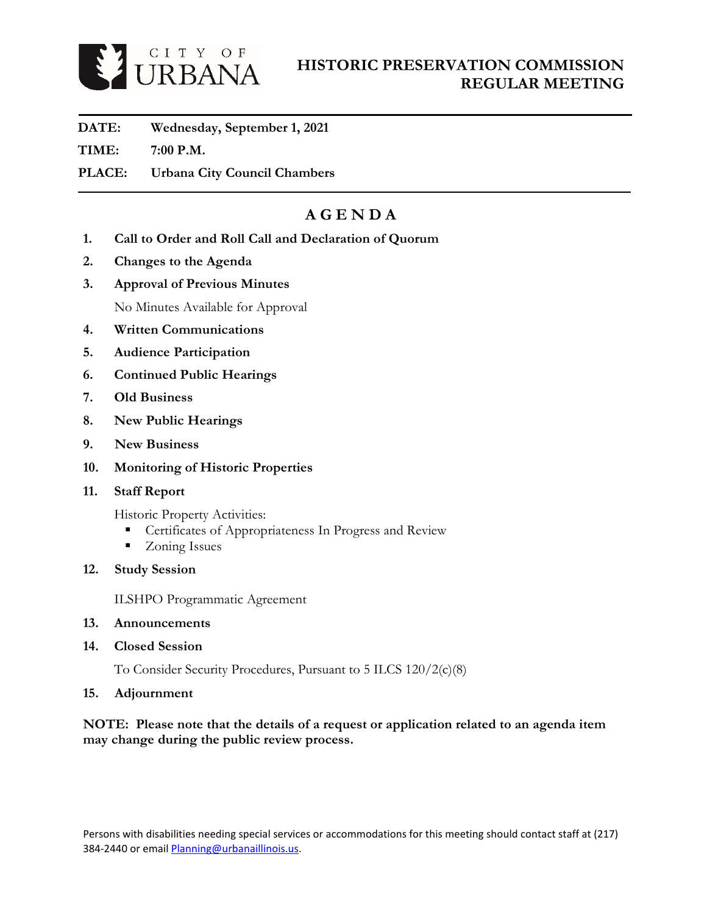

### **HISTORIC PRESERVATION COMMISSION REGULAR MEETING**

- **DATE: Wednesday, September 1, 2021**
- **TIME: 7:00 P.M.**
- **PLACE: Urbana City Council Chambers**

## **A G E N D A**

- **1. Call to Order and Roll Call and Declaration of Quorum**
- **2. Changes to the Agenda**
- **3. Approval of Previous Minutes**

No Minutes Available for Approval

- **4. Written Communications**
- **5. Audience Participation**
- **6. Continued Public Hearings**
- **7. Old Business**
- **8. New Public Hearings**
- **9. New Business**
- **10. Monitoring of Historic Properties**
- **11. Staff Report**

Historic Property Activities:

- **Certificates of Appropriateness In Progress and Review**
- **Zoning Issues**
- **12. Study Session**

ILSHPO Programmatic Agreement

- **13. Announcements**
- **14. Closed Session**

To Consider Security Procedures, Pursuant to 5 ILCS 120/2(c)(8)

**15. Adjournment**

**NOTE: Please note that the details of a request or application related to an agenda item may change during the public review process.**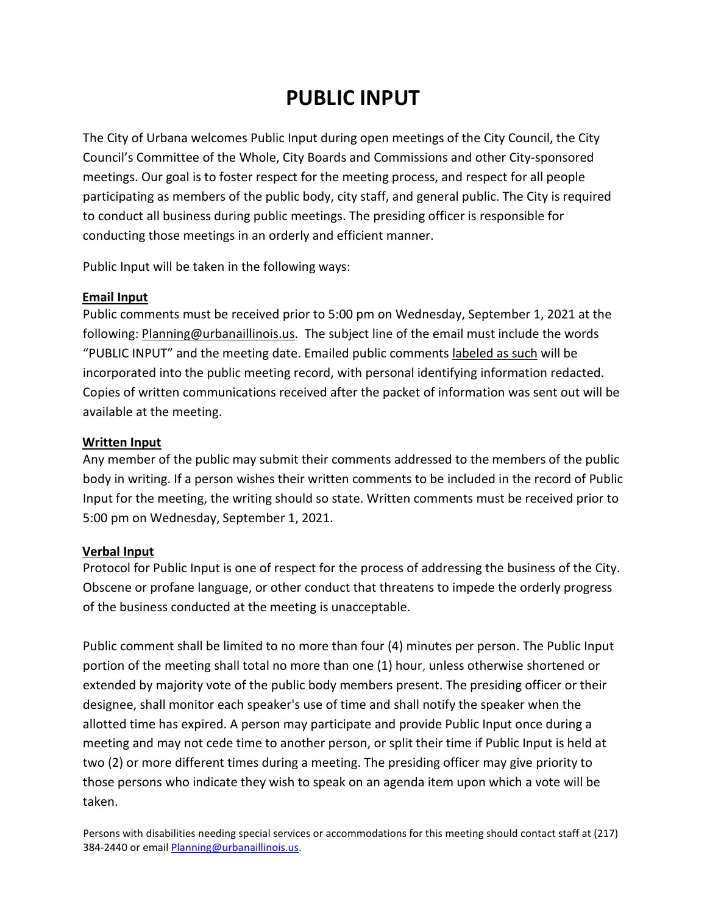# **PUBLIC INPUT**

The City of Urbana welcomes Public Input during open meetings of the City Council, the City Council's Committee of the Whole, City Boards and Commissions and other City-sponsored meetings. Our goal is to foster respect for the meeting process, and respect for all people participating as members of the public body, city staff, and general public. The City is required to conduct all business during public meetings. The presiding officer is responsible for conducting those meetings in an orderly and efficient manner.

Public Input will be taken in the following ways:

#### **Email Input**

Public comments must be received prior to 5:00 pm on Wednesday, September 1, 2021 at the following: Planning@urbanaillinois.us. The subject line of the email must include the words "PUBLIC INPUT" and the meeting date. Emailed public comments labeled as such will be incorporated into the public meeting record, with personal identifying information redacted. Copies of written communications received after the packet of information was sent out will be available at the meeting.

#### **Written Input**

Any member of the public may submit their comments addressed to the members of the public body in writing. If a person wishes their written comments to be included in the record of Public Input for the meeting, the writing should so state. Written comments must be received prior to 5:00 pm on Wednesday, September 1, 2021.

#### **Verbal Input**

Protocol for Public Input is one of respect for the process of addressing the business of the City. Obscene or profane language, or other conduct that threatens to impede the orderly progress of the business conducted at the meeting is unacceptable.

Public comment shall be limited to no more than four (4) minutes per person. The Public Input portion of the meeting shall total no more than one (1) hour, unless otherwise shortened or extended by majority vote of the public body members present. The presiding officer or their designee, shall monitor each speaker's use of time and shall notify the speaker when the allotted time has expired. A person may participate and provide Public Input once during a meeting and may not cede time to another person, or split their time if Public Input is held at two (2) or more different times during a meeting. The presiding officer may give priority to those persons who indicate they wish to speak on an agenda item upon which a vote will be taken.

Persons with disabilities needing special services or accommodations for this meeting should contact staff at (217) 384-2440 or emai[l Planning@urbanaillinois.us.](mailto:Planning@urbanaillinois.us)